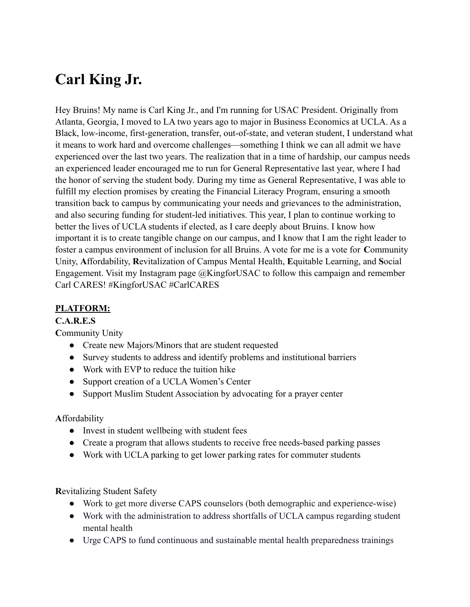# **Carl King Jr.**

Hey Bruins! My name is Carl King Jr., and I'm running for USAC President. Originally from Atlanta, Georgia, I moved to LA two years ago to major in Business Economics at UCLA. As a Black, low-income, first-generation, transfer, out-of-state, and veteran student, I understand what it means to work hard and overcome challenges—something I think we can all admit we have experienced over the last two years. The realization that in a time of hardship, our campus needs an experienced leader encouraged me to run for General Representative last year, where I had the honor of serving the student body. During my time as General Representative, I was able to fulfill my election promises by creating the Financial Literacy Program, ensuring a smooth transition back to campus by communicating your needs and grievances to the administration, and also securing funding for student-led initiatives. This year, I plan to continue working to better the lives of UCLA students if elected, as I care deeply about Bruins. I know how important it is to create tangible change on our campus, and I know that I am the right leader to foster a campus environment of inclusion for all Bruins. A vote for me is a vote for **C**ommunity Unity, **A**ffordability, **R**evitalization of Campus Mental Health, **E**quitable Learning, and **S**ocial Engagement. Visit my Instagram page @KingforUSAC to follow this campaign and remember Carl CARES! #KingforUSAC #CarlCARES

## **PLATFORM:**

## **C.A.R.E.S**

**C**ommunity Unity

- Create new Majors/Minors that are student requested
- Survey students to address and identify problems and institutional barriers
- Work with EVP to reduce the tuition hike
- Support creation of a UCLA Women's Center
- Support Muslim Student Association by advocating for a prayer center

## **A**ffordability

- Invest in student wellbeing with student fees
- Create a program that allows students to receive free needs-based parking passes
- Work with UCLA parking to get lower parking rates for commuter students

**R**evitalizing Student Safety

- Work to get more diverse CAPS counselors (both demographic and experience-wise)
- Work with the administration to address shortfalls of UCLA campus regarding student mental health
- Urge CAPS to fund continuous and sustainable mental health preparedness trainings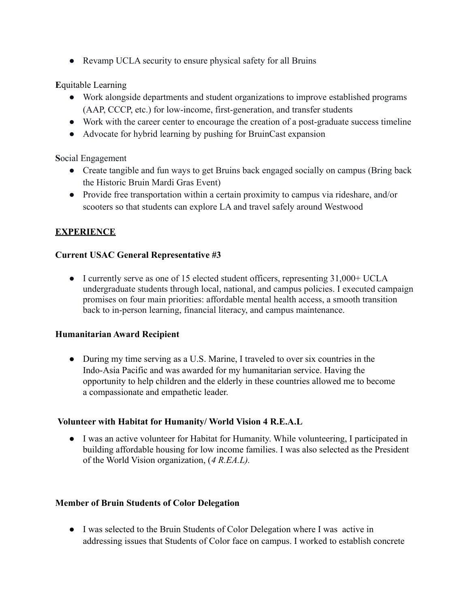• Revamp UCLA security to ensure physical safety for all Bruins

## **E**quitable Learning

- Work alongside departments and student organizations to improve established programs (AAP, CCCP, etc.) for low-income, first-generation, and transfer students
- Work with the career center to encourage the creation of a post-graduate success timeline
- Advocate for hybrid learning by pushing for BruinCast expansion

## **S**ocial Engagement

- Create tangible and fun ways to get Bruins back engaged socially on campus (Bring back the Historic Bruin Mardi Gras Event)
- Provide free transportation within a certain proximity to campus via rideshare, and/or scooters so that students can explore LA and travel safely around Westwood

## **EXPERIENCE**

## **Current USAC General Representative #3**

● I currently serve as one of 15 elected student officers, representing 31,000+ UCLA undergraduate students through local, national, and campus policies. I executed campaign promises on four main priorities: affordable mental health access, a smooth transition back to in-person learning, financial literacy, and campus maintenance.

## **Humanitarian Award Recipient**

● During my time serving as a U.S. Marine, I traveled to over six countries in the Indo-Asia Pacific and was awarded for my humanitarian service. Having the opportunity to help children and the elderly in these countries allowed me to become a compassionate and empathetic leader.

## **Volunteer with Habitat for Humanity/ World Vision 4 R.E.A.L**

● I was an active volunteer for Habitat for Humanity. While volunteering, I participated in building affordable housing for low income families. I was also selected as the President of the World Vision organization, (*4 R.EA.L).*

## **Member of Bruin Students of Color Delegation**

● I was selected to the Bruin Students of Color Delegation where I was active in addressing issues that Students of Color face on campus. I worked to establish concrete